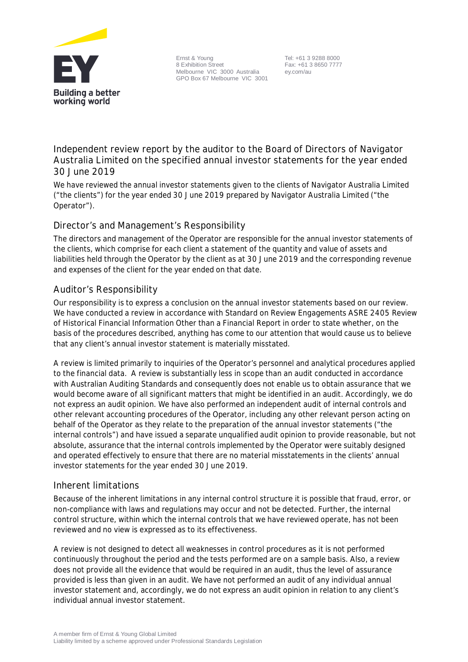

Ernst & Young 8 Exhibition Street Melbourne VIC 3000 Australia GPO Box 67 Melbourne VIC 3001

Tel: +61 3 9288 8000 Fax: +61 3 8650 7777 ey.com/au

**Independent review report by the auditor to the Board of Directors of Navigator Australia Limited on the specified annual investor statements for the year ended 30 June 2019**

We have reviewed the annual investor statements given to the clients of Navigator Australia Limited ("the clients") for the year ended 30 June 2019 prepared by Navigator Australia Limited ("the Operator").

## **Director's and Management's Responsibility**

The directors and management of the Operator are responsible for the annual investor statements of the clients, which comprise for each client a statement of the quantity and value of assets and liabilities held through the Operator by the client as at 30 June 2019 and the corresponding revenue and expenses of the client for the year ended on that date.

# **Auditor's Responsibility**

Our responsibility is to express a conclusion on the annual investor statements based on our review. We have conducted a review in accordance with Standard on Review Engagements ASRE 2405 Review of Historical Financial Information Other than a Financial Report in order to state whether, on the basis of the procedures described, anything has come to our attention that would cause us to believe that any client's annual investor statement is materially misstated.

A review is limited primarily to inquiries of the Operator's personnel and analytical procedures applied to the financial data. A review is substantially less in scope than an audit conducted in accordance with Australian Auditing Standards and consequently does not enable us to obtain assurance that we would become aware of all significant matters that might be identified in an audit. Accordingly, we do not express an audit opinion. We have also performed an independent audit of internal controls and other relevant accounting procedures of the Operator, including any other relevant person acting on behalf of the Operator as they relate to the preparation of the annual investor statements ("the internal controls") and have issued a separate unqualified audit opinion to provide reasonable, but not absolute, assurance that the internal controls implemented by the Operator were suitably designed and operated effectively to ensure that there are no material misstatements in the clients' annual investor statements for the year ended 30 June 2019.

### **Inherent limitations**

Because of the inherent limitations in any internal control structure it is possible that fraud, error, or non-compliance with laws and regulations may occur and not be detected. Further, the internal control structure, within which the internal controls that we have reviewed operate, has not been reviewed and no view is expressed as to its effectiveness.

A review is not designed to detect all weaknesses in control procedures as it is not performed continuously throughout the period and the tests performed are on a sample basis. Also, a review does not provide all the evidence that would be required in an audit, thus the level of assurance provided is less than given in an audit. We have not performed an audit of any individual annual investor statement and, accordingly, we do not express an audit opinion in relation to any client's individual annual investor statement.